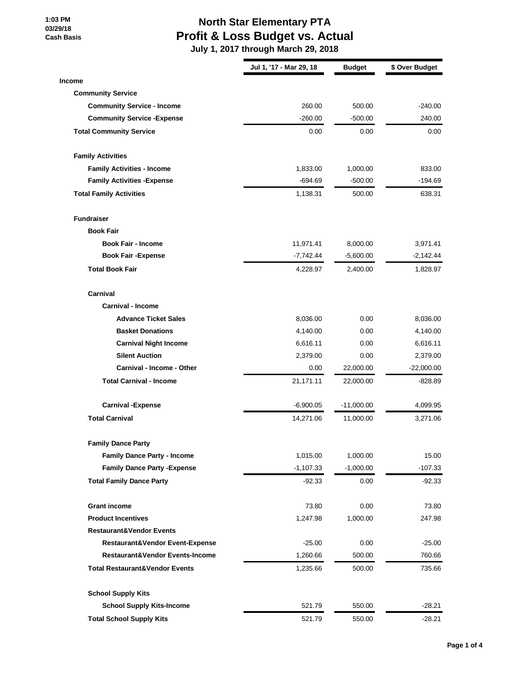#### **1:03 PM 03/29/18 Cash Basis**

## **North Star Elementary PTA Profit & Loss Budget vs. Actual**

|                                           | Jul 1, '17 - Mar 29, 18 | <b>Budget</b> | \$ Over Budget |
|-------------------------------------------|-------------------------|---------------|----------------|
| <b>Income</b>                             |                         |               |                |
| <b>Community Service</b>                  |                         |               |                |
| <b>Community Service - Income</b>         | 260.00                  | 500.00        | $-240.00$      |
| <b>Community Service - Expense</b>        | $-260.00$               | $-500.00$     | 240.00         |
| <b>Total Community Service</b>            | 0.00                    | 0.00          | 0.00           |
| <b>Family Activities</b>                  |                         |               |                |
| <b>Family Activities - Income</b>         | 1,833.00                | 1,000.00      | 833.00         |
| <b>Family Activities - Expense</b>        | -694.69                 | $-500.00$     | -194.69        |
| <b>Total Family Activities</b>            | 1,138.31                | 500.00        | 638.31         |
| <b>Fundraiser</b>                         |                         |               |                |
| <b>Book Fair</b>                          |                         |               |                |
| <b>Book Fair - Income</b>                 | 11,971.41               | 8,000.00      | 3,971.41       |
| <b>Book Fair -Expense</b>                 | -7,742.44               | $-5,600.00$   | $-2,142.44$    |
| <b>Total Book Fair</b>                    | 4,228.97                | 2,400.00      | 1,828.97       |
| Carnival                                  |                         |               |                |
| <b>Carnival - Income</b>                  |                         |               |                |
| <b>Advance Ticket Sales</b>               | 8,036.00                | 0.00          | 8,036.00       |
| <b>Basket Donations</b>                   | 4,140.00                | 0.00          | 4,140.00       |
| <b>Carnival Night Income</b>              | 6,616.11                | 0.00          | 6,616.11       |
| <b>Silent Auction</b>                     | 2,379.00                | 0.00          | 2,379.00       |
| Carnival - Income - Other                 | 0.00                    | 22,000.00     | $-22,000.00$   |
| <b>Total Carnival - Income</b>            | 21,171.11               | 22,000.00     | -828.89        |
| <b>Carnival -Expense</b>                  | $-6,900.05$             | $-11,000.00$  | 4,099.95       |
| <b>Total Carnival</b>                     | 14,271.06               | 11,000.00     | 3,271.06       |
| <b>Family Dance Party</b>                 |                         |               |                |
| <b>Family Dance Party - Income</b>        | 1,015.00                | 1,000.00      | 15.00          |
| <b>Family Dance Party - Expense</b>       | $-1,107.33$             | $-1,000.00$   | $-107.33$      |
| <b>Total Family Dance Party</b>           | $-92.33$                | 0.00          | $-92.33$       |
| <b>Grant income</b>                       | 73.80                   | 0.00          | 73.80          |
| <b>Product Incentives</b>                 | 1,247.98                | 1,000.00      | 247.98         |
| <b>Restaurant&amp;Vendor Events</b>       |                         |               |                |
| Restaurant&Vendor Event-Expense           | $-25.00$                | 0.00          | $-25.00$       |
| Restaurant&Vendor Events-Income           | 1,260.66                | 500.00        | 760.66         |
| <b>Total Restaurant&amp;Vendor Events</b> | 1,235.66                | 500.00        | 735.66         |
| <b>School Supply Kits</b>                 |                         |               |                |
| <b>School Supply Kits-Income</b>          | 521.79                  | 550.00        | $-28.21$       |
| <b>Total School Supply Kits</b>           | 521.79                  | 550.00        | $-28.21$       |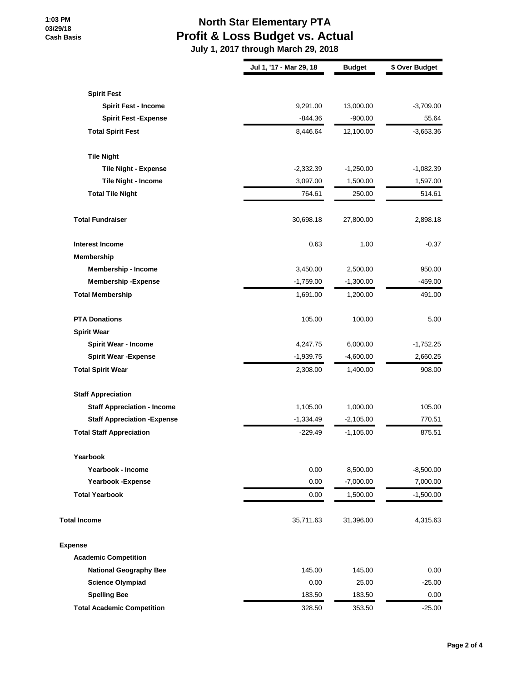### **1:03 PM 03/29/18 Cash Basis**

## **North Star Elementary PTA Profit & Loss Budget vs. Actual**

|                                     | Jul 1, '17 - Mar 29, 18 | <b>Budget</b> | \$ Over Budget |
|-------------------------------------|-------------------------|---------------|----------------|
| <b>Spirit Fest</b>                  |                         |               |                |
| <b>Spirit Fest - Income</b>         | 9,291.00                | 13,000.00     | $-3,709.00$    |
| <b>Spirit Fest -Expense</b>         | $-844.36$               | $-900.00$     | 55.64          |
| <b>Total Spirit Fest</b>            | 8,446.64                | 12,100.00     | $-3,653.36$    |
|                                     |                         |               |                |
| <b>Tile Night</b>                   |                         |               |                |
| <b>Tile Night - Expense</b>         | $-2,332.39$             | $-1,250.00$   | $-1,082.39$    |
| Tile Night - Income                 | 3,097.00                | 1,500.00      | 1,597.00       |
| <b>Total Tile Night</b>             | 764.61                  | 250.00        | 514.61         |
| <b>Total Fundraiser</b>             | 30,698.18               | 27,800.00     | 2,898.18       |
| <b>Interest Income</b>              | 0.63                    | 1.00          | $-0.37$        |
| Membership                          |                         |               |                |
| <b>Membership - Income</b>          | 3,450.00                | 2,500.00      | 950.00         |
| <b>Membership-Expense</b>           | $-1,759.00$             | $-1,300.00$   | $-459.00$      |
| <b>Total Membership</b>             | 1,691.00                | 1,200.00      | 491.00         |
| <b>PTA Donations</b>                | 105.00                  | 100.00        | 5.00           |
| <b>Spirit Wear</b>                  |                         |               |                |
| <b>Spirit Wear - Income</b>         | 4,247.75                | 6,000.00      | $-1,752.25$    |
| <b>Spirit Wear - Expense</b>        | $-1,939.75$             | $-4,600.00$   | 2,660.25       |
| <b>Total Spirit Wear</b>            | 2,308.00                | 1,400.00      | 908.00         |
| <b>Staff Appreciation</b>           |                         |               |                |
| <b>Staff Appreciation - Income</b>  | 1,105.00                | 1,000.00      | 105.00         |
| <b>Staff Appreciation - Expense</b> | $-1,334.49$             | $-2,105.00$   | 770.51         |
| <b>Total Staff Appreciation</b>     | $-229.49$               | $-1,105.00$   | 875.51         |
| Yearbook                            |                         |               |                |
| Yearbook - Income                   | 0.00                    | 8,500.00      | $-8,500.00$    |
| Yearbook - Expense                  | 0.00                    | $-7,000.00$   | 7,000.00       |
| <b>Total Yearbook</b>               | 0.00                    | 1,500.00      | $-1,500.00$    |
| <b>Total Income</b>                 | 35,711.63               | 31,396.00     | 4,315.63       |
| <b>Expense</b>                      |                         |               |                |
| <b>Academic Competition</b>         |                         |               |                |
| <b>National Geography Bee</b>       | 145.00                  | 145.00        | 0.00           |
| <b>Science Olympiad</b>             | 0.00                    | 25.00         | $-25.00$       |
| <b>Spelling Bee</b>                 | 183.50                  | 183.50        | 0.00           |
| <b>Total Academic Competition</b>   | 328.50                  | 353.50        | $-25.00$       |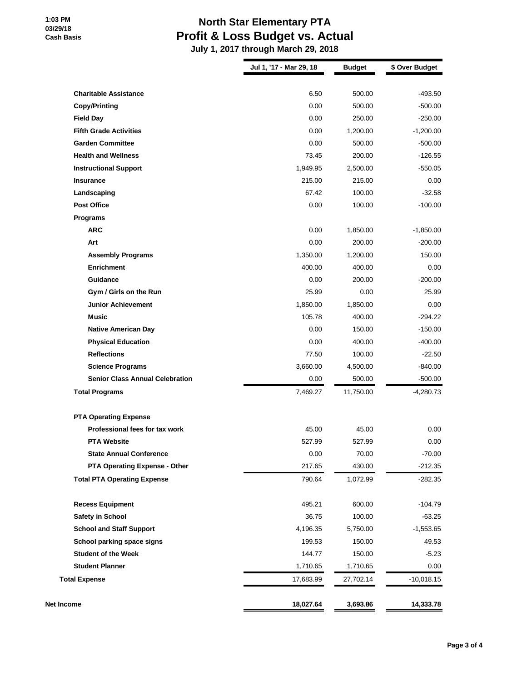## **North Star Elementary PTA Profit & Loss Budget vs. Actual**

|                                        | Jul 1, '17 - Mar 29, 18 | <b>Budget</b> | \$ Over Budget |
|----------------------------------------|-------------------------|---------------|----------------|
| <b>Charitable Assistance</b>           | 6.50                    | 500.00        | $-493.50$      |
| <b>Copy/Printing</b>                   | 0.00                    | 500.00        | $-500.00$      |
| <b>Field Day</b>                       | 0.00                    | 250.00        | $-250.00$      |
| <b>Fifth Grade Activities</b>          | 0.00                    | 1,200.00      | $-1,200.00$    |
| <b>Garden Committee</b>                | 0.00                    | 500.00        | $-500.00$      |
| <b>Health and Wellness</b>             | 73.45                   | 200.00        | $-126.55$      |
| <b>Instructional Support</b>           | 1,949.95                | 2,500.00      | $-550.05$      |
| <b>Insurance</b>                       | 215.00                  | 215.00        | 0.00           |
| Landscaping                            | 67.42                   | 100.00        | $-32.58$       |
| <b>Post Office</b>                     | 0.00                    | 100.00        | $-100.00$      |
| <b>Programs</b>                        |                         |               |                |
| <b>ARC</b>                             | 0.00                    | 1,850.00      | $-1,850.00$    |
| Art                                    | 0.00                    | 200.00        | $-200.00$      |
| <b>Assembly Programs</b>               | 1,350.00                | 1,200.00      | 150.00         |
| <b>Enrichment</b>                      | 400.00                  | 400.00        | 0.00           |
| Guidance                               | 0.00                    | 200.00        | $-200.00$      |
| Gym / Girls on the Run                 | 25.99                   | 0.00          | 25.99          |
| <b>Junior Achievement</b>              | 1,850.00                | 1,850.00      | 0.00           |
| <b>Music</b>                           | 105.78                  | 400.00        | $-294.22$      |
| <b>Native American Day</b>             | 0.00                    | 150.00        | $-150.00$      |
| <b>Physical Education</b>              | 0.00                    | 400.00        | $-400.00$      |
| <b>Reflections</b>                     | 77.50                   | 100.00        | $-22.50$       |
| <b>Science Programs</b>                | 3,660.00                | 4,500.00      | $-840.00$      |
| <b>Senior Class Annual Celebration</b> | 0.00                    | 500.00        | $-500.00$      |
| <b>Total Programs</b>                  | 7,469.27                | 11,750.00     | $-4,280.73$    |
| <b>PTA Operating Expense</b>           |                         |               |                |
| Professional fees for tax work         | 45.00                   | 45.00         | 0.00           |
| <b>PTA Website</b>                     | 527.99                  | 527.99        | 0.00           |
| <b>State Annual Conference</b>         | 0.00                    | 70.00         | $-70.00$       |
| <b>PTA Operating Expense - Other</b>   | 217.65                  | 430.00        | $-212.35$      |
| <b>Total PTA Operating Expense</b>     | 790.64                  | 1,072.99      | $-282.35$      |
| <b>Recess Equipment</b>                | 495.21                  | 600.00        | $-104.79$      |
| Safety in School                       | 36.75                   | 100.00        | $-63.25$       |
| <b>School and Staff Support</b>        | 4,196.35                | 5,750.00      | $-1,553.65$    |
| School parking space signs             | 199.53                  | 150.00        | 49.53          |
| <b>Student of the Week</b>             | 144.77                  | 150.00        | $-5.23$        |
| <b>Student Planner</b>                 | 1,710.65                | 1,710.65      | 0.00           |
| <b>Total Expense</b>                   | 17,683.99               | 27,702.14     | $-10,018.15$   |
| Net Income                             | 18,027.64               | 3,693.86      | 14,333.78      |